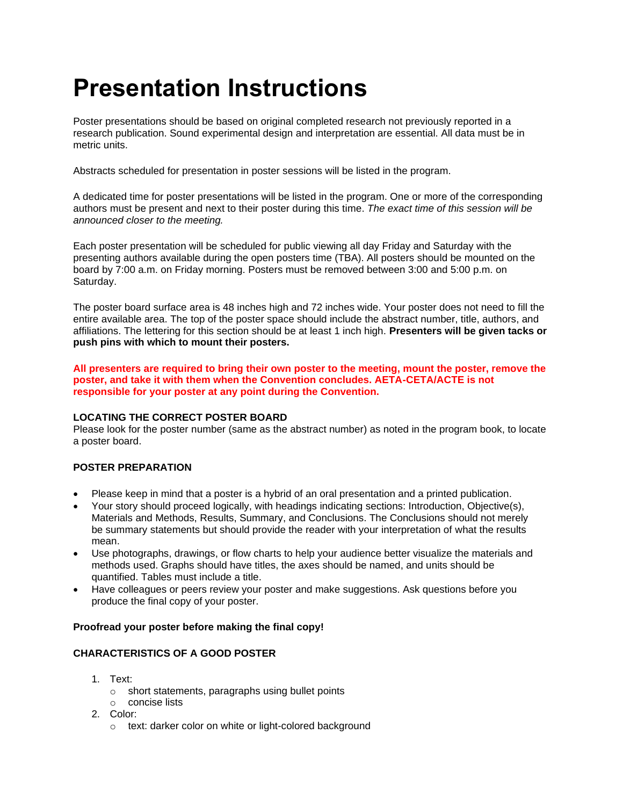# **Presentation Instructions**

Poster presentations should be based on original completed research not previously reported in a research publication. Sound experimental design and interpretation are essential. All data must be in metric units.

Abstracts scheduled for presentation in poster sessions will be listed in the program.

A dedicated time for poster presentations will be listed in the program. One or more of the corresponding authors must be present and next to their poster during this time. *The exact time of this session will be announced closer to the meeting.*

Each poster presentation will be scheduled for public viewing all day Friday and Saturday with the presenting authors available during the open posters time (TBA). All posters should be mounted on the board by 7:00 a.m. on Friday morning. Posters must be removed between 3:00 and 5:00 p.m. on Saturday.

The poster board surface area is 48 inches high and 72 inches wide. Your poster does not need to fill the entire available area. The top of the poster space should include the abstract number, title, authors, and affiliations. The lettering for this section should be at least 1 inch high. **Presenters will be given tacks or push pins with which to mount their posters.**

**All presenters are required to bring their own poster to the meeting, mount the poster, remove the poster, and take it with them when the Convention concludes. AETA-CETA/ACTE is not responsible for your poster at any point during the Convention.**

### **LOCATING THE CORRECT POSTER BOARD**

Please look for the poster number (same as the abstract number) as noted in the program book, to locate a poster board.

# **POSTER PREPARATION**

- Please keep in mind that a poster is a hybrid of an oral presentation and a printed publication.
- Your story should proceed logically, with headings indicating sections: Introduction, Objective(s), Materials and Methods, Results, Summary, and Conclusions. The Conclusions should not merely be summary statements but should provide the reader with your interpretation of what the results mean.
- Use photographs, drawings, or flow charts to help your audience better visualize the materials and methods used. Graphs should have titles, the axes should be named, and units should be quantified. Tables must include a title.
- Have colleagues or peers review your poster and make suggestions. Ask questions before you produce the final copy of your poster.

### **Proofread your poster before making the final copy!**

# **CHARACTERISTICS OF A GOOD POSTER**

- 1. Text:
	- o short statements, paragraphs using bullet points
	- o concise lists
- 2. Color:
	- o text: darker color on white or light-colored background